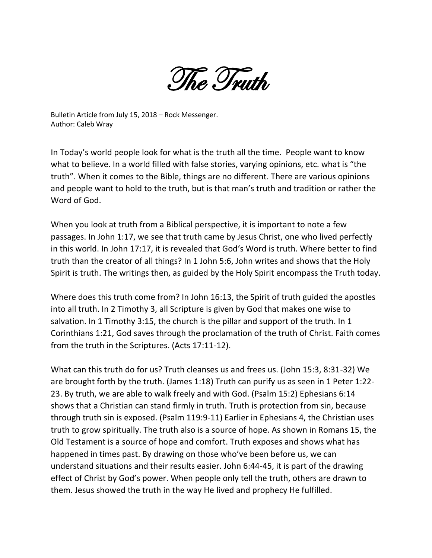The Truth

Bulletin Article from July 15, 2018 – Rock Messenger. Author: Caleb Wray

In Today's world people look for what is the truth all the time. People want to know what to believe. In a world filled with false stories, varying opinions, etc. what is "the truth". When it comes to the Bible, things are no different. There are various opinions and people want to hold to the truth, but is that man's truth and tradition or rather the Word of God.

When you look at truth from a Biblical perspective, it is important to note a few passages. In John 1:17, we see that truth came by Jesus Christ, one who lived perfectly in this world. In John 17:17, it is revealed that God's Word is truth. Where better to find truth than the creator of all things? In 1 John 5:6, John writes and shows that the Holy Spirit is truth. The writings then, as guided by the Holy Spirit encompass the Truth today.

Where does this truth come from? In John 16:13, the Spirit of truth guided the apostles into all truth. In 2 Timothy 3, all Scripture is given by God that makes one wise to salvation. In 1 Timothy 3:15, the church is the pillar and support of the truth. In 1 Corinthians 1:21, God saves through the proclamation of the truth of Christ. Faith comes from the truth in the Scriptures. (Acts 17:11-12).

What can this truth do for us? Truth cleanses us and frees us. (John 15:3, 8:31-32) We are brought forth by the truth. (James 1:18) Truth can purify us as seen in 1 Peter 1:22- 23. By truth, we are able to walk freely and with God. (Psalm 15:2) Ephesians 6:14 shows that a Christian can stand firmly in truth. Truth is protection from sin, because through truth sin is exposed. (Psalm 119:9-11) Earlier in Ephesians 4, the Christian uses truth to grow spiritually. The truth also is a source of hope. As shown in Romans 15, the Old Testament is a source of hope and comfort. Truth exposes and shows what has happened in times past. By drawing on those who've been before us, we can understand situations and their results easier. John 6:44-45, it is part of the drawing effect of Christ by God's power. When people only tell the truth, others are drawn to them. Jesus showed the truth in the way He lived and prophecy He fulfilled.